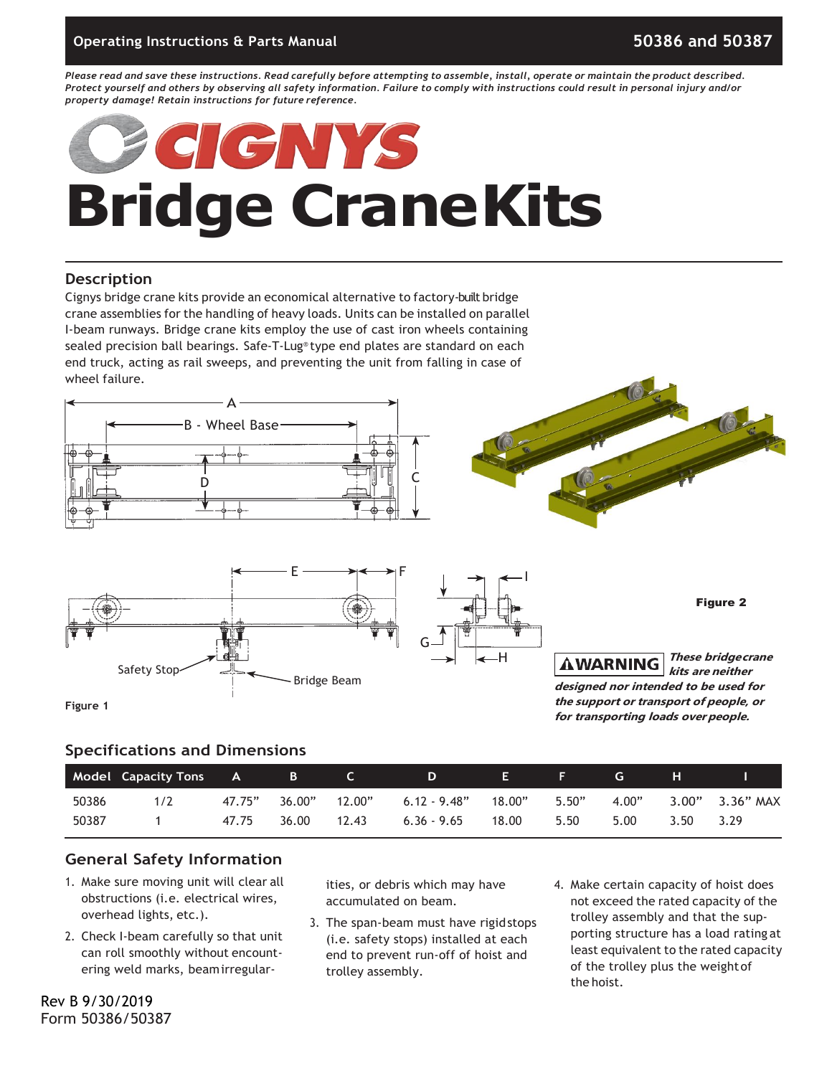Please read and save these instructions. Read carefully before attempting to assemble, install, operate or maintain the product described. Protect yourself and others by observing all safety information. Failure to comply with instructions could result in personal injury and/or *property damage! Retain instructions for future reference.*

# CNNA **Bridge CraneKits**

### **Description**

Cignys bridge crane kits provide an economical alternative to factory-built bridge crane assemblies for the handling of heavy loads. Units can be installed on parallel I-beam runways. Bridge crane kits employ the use of cast iron wheels containing sealed precision ball bearings. Safe-T-Lug® type end plates are standard on each end truck, acting as rail sweeps, and preventing the unit from falling in case of wheel failure.







Figure 2

**These bridgecrane AWARNING kits are neither designed nor intended to be used for the support or transport of people, or for transporting loads overpeople.**

### **Specifications and Dimensions**

|       | <b>Model Capacity Tons</b> | A      | B      |        | D              | E .    |       | <b>G</b> | н    |                     |
|-------|----------------------------|--------|--------|--------|----------------|--------|-------|----------|------|---------------------|
| 50386 | 1/2                        | 47.75" | 36.00" | 12.00" | $6.12 - 9.48"$ | 18.00" | 5.50" | 4.00"    |      | $3.00"$ $3.36"$ MAX |
| 50387 |                            | 47.75  | 36.00  | 12.43  | $6.36 - 9.65$  | 18.00  | 5.50  | 5.00     | 3.50 | 3.29                |

### **General Safety Information**

- 1. Make sure moving unit will clear all obstructions (i.e. electrical wires, overhead lights, etc.).
- 2. Check I-beam carefully so that unit can roll smoothly without encountering weld marks, beamirregular-

ities, or debris which may have accumulated on beam.

- 3. The span-beam must have rigidstops (i.e. safety stops) installed at each end to prevent run-off of hoist and trolley assembly.
- 4. Make certain capacity of hoist does not exceed the rated capacity of the trolley assembly and that the supporting structure has a load rating at least equivalent to the rated capacity of the trolley plus the weightof the hoist.

Rev B 9/30/2019 Form 50386/50387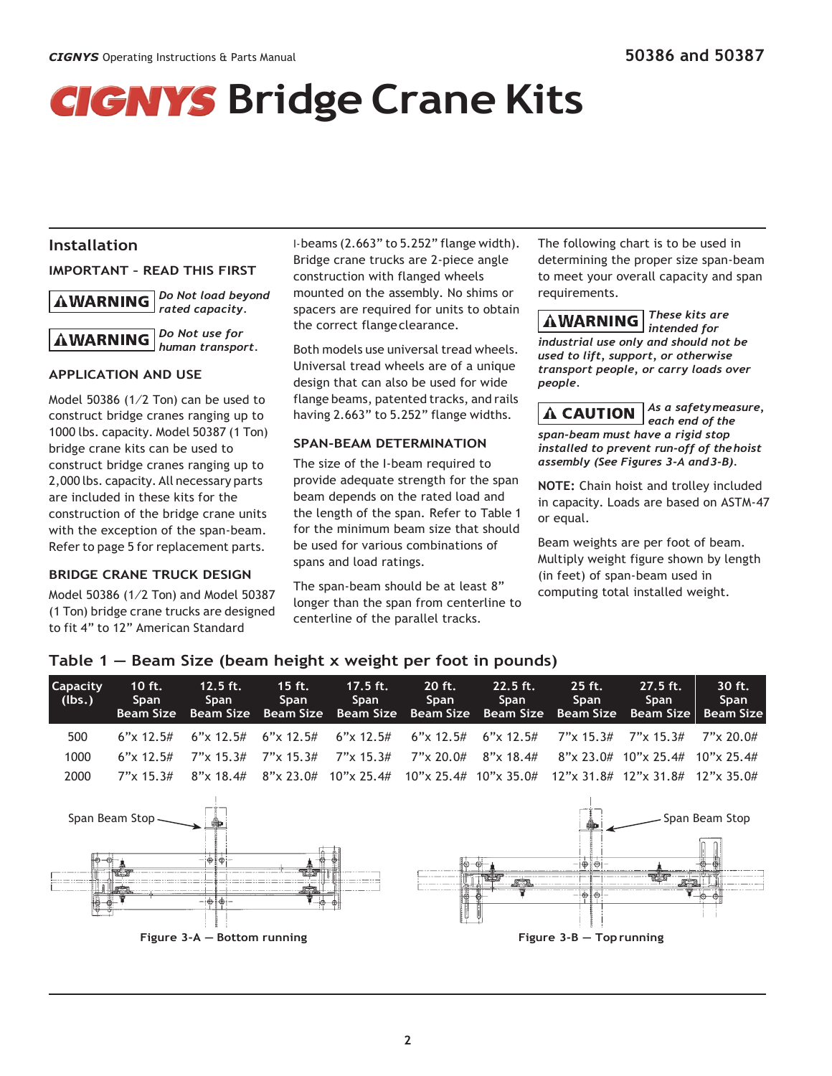## *GIGNYS* Bridge Crane Kits

### **Installation**

**IMPORTANT – READ THIS FIRST**

*Do Not load beyond*  **AWARNING** *rated capacity.*



### **APPLICATION AND USE**

Model 50386 (1⁄2 Ton) can be used to construct bridge cranes ranging up to 1000 lbs. capacity. Model 50387 (1 Ton) bridge crane kits can be used to construct bridge cranes ranging up to 2,000 lbs. capacity. All necessary parts are included in these kits for the construction of the bridge crane units with the exception of the span-beam. Refer to page 5 for replacement parts.

### **BRIDGE CRANE TRUCK DESIGN**

Model 50386 (1⁄2 Ton) and Model 50387 (1 Ton) bridge crane trucks are designed to fit 4" to 12" American Standard

I-beams (2.663" to 5.252" flange width). Bridge crane trucks are 2-piece angle construction with flanged wheels mounted on the assembly. No shims or spacers are required for units to obtain the correct flangeclearance.

Both models use universal tread wheels. Universal tread wheels are of a unique design that can also be used for wide flange beams, patented tracks, and rails having 2.663" to 5.252" flange widths.

### **SPAN-BEAM DETERMINATION**

The size of the I-beam required to provide adequate strength for the span beam depends on the rated load and the length of the span. Refer to Table 1 for the minimum beam size that should be used for various combinations of spans and load ratings.

The span-beam should be at least 8" longer than the span from centerline to centerline of the parallel tracks.

The following chart is to be used in determining the proper size span-beam to meet your overall capacity and span requirements.

*These kits are*  **AWARNING** *intended for industrial use only and should not be used to lift, support, or otherwise transport people, or carry loads over people.*

**A CAUTION** 

*each end of the span-beam must have a rigid stop installed to prevent run-off of thehoist assembly (See Figures 3-A and3-B).*

*As a safetymeasure,* 

**NOTE:** Chain hoist and trolley included in capacity. Loads are based on ASTM-47 or equal.

Beam weights are per foot of beam. Multiply weight figure shown by length (in feet) of span-beam used in computing total installed weight.

| <b>Capacity</b><br>$ $ (lbs.) | 10 $ft.$<br><b>Span</b><br>Beam Size | $12.5$ ft.<br><b>Span</b> | $15$ ft.<br>Span | $17.5$ ft.<br>Span                                          | 20 ft.<br>Span | $22.5$ ft.<br>Span<br>Beam Size Beam Size Beam Size Beam Size Beam Size Beam Size Beam Size Beam Size   | $25$ ft.<br>Span | $27.5$ ft.<br><b>Span</b>          | 30 ft.<br><b>Span</b> |
|-------------------------------|--------------------------------------|---------------------------|------------------|-------------------------------------------------------------|----------------|---------------------------------------------------------------------------------------------------------|------------------|------------------------------------|-----------------------|
| 500                           |                                      |                           |                  |                                                             |                | 6"x 12.5# 6"x 12.5# 6"x 12.5# 6"x 12.5# 6"x 12.5# 6"x 12.5# 7"x 15.3# 7"x 15.3# 7"x 20.0#               |                  |                                    |                       |
| 1000                          |                                      |                           |                  | 6"x 12.5# 7"x 15.3# 7"x 15.3# 7"x 15.3# 7"x 20.0# 8"x 18.4# |                |                                                                                                         |                  | $8$ "x 23.0# 10"x 25.4# 10"x 25.4# |                       |
| 2000                          | $7''$ x 15.3#                        | $8"$ x 18.4#              |                  |                                                             |                | $8''$ x 23.0# $10''$ x 25.4# $10''$ x 25.4# $10''$ x 35.0# $12''$ x 31.8# $12''$ x 31.8# $12''$ x 35.0# |                  |                                    |                       |
|                               |                                      |                           |                  |                                                             |                |                                                                                                         |                  |                                    |                       |



### **Table 1 — Beam Size (beam height x weight per foot in pounds)**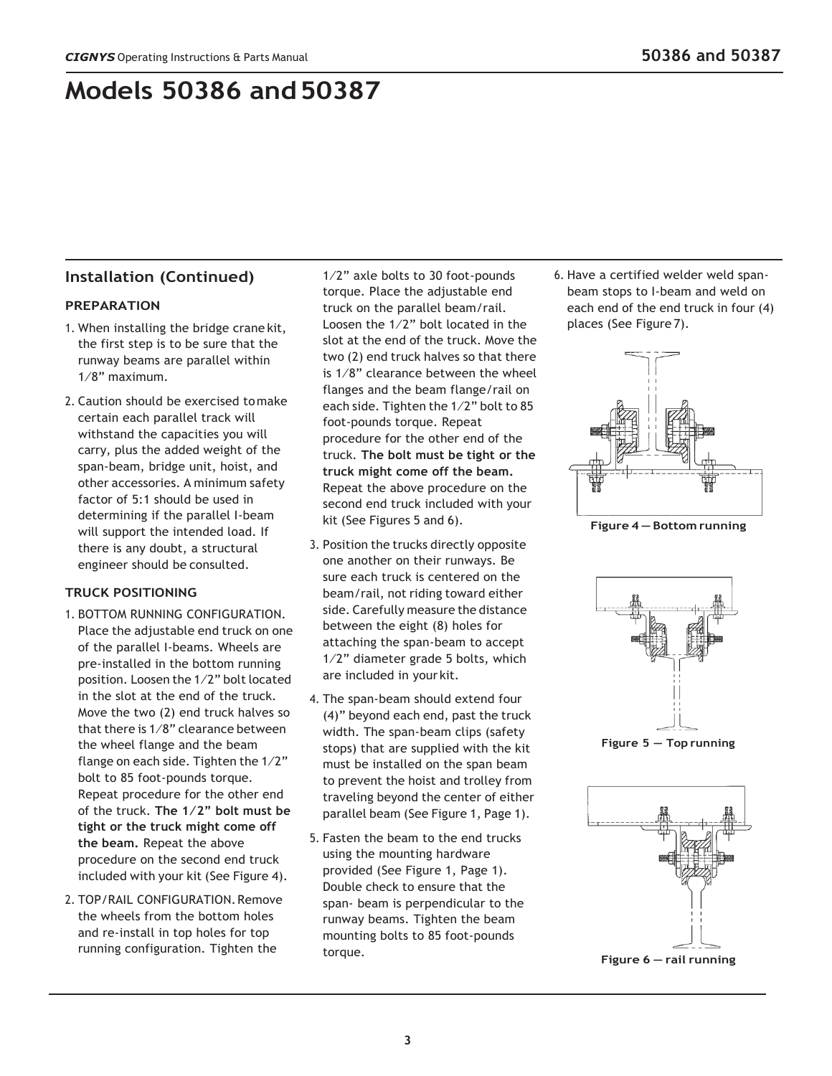## **Models 50386 and50387**

### **Installation (Continued)**

### **PREPARATION**

- 1. When installing the bridge crane kit, the first step is to be sure that the runway beams are parallel within 1⁄8" maximum.
- 2. Caution should be exercised tomake certain each parallel track will withstand the capacities you will carry, plus the added weight of the span-beam, bridge unit, hoist, and other accessories. A minimum safety factor of 5:1 should be used in determining if the parallel I-beam will support the intended load. If there is any doubt, a structural engineer should be consulted.

### **TRUCK POSITIONING**

- 1. BOTTOM RUNNING CONFIGURATION. Place the adjustable end truck on one of the parallel I-beams. Wheels are pre-installed in the bottom running position. Loosen the 1⁄2" bolt located in the slot at the end of the truck. Move the two (2) end truck halves so that there is  $1/8$ " clearance between the wheel flange and the beam flange on each side. Tighten the 1⁄2" bolt to 85 foot-pounds torque. Repeat procedure for the other end of the truck. **The 1⁄2" bolt must be tight or the truck might come off the beam.** Repeat the above procedure on the second end truck included with your kit (See Figure 4).
- 2. TOP/RAIL CONFIGURATION.Remove the wheels from the bottom holes and re-install in top holes for top running configuration. Tighten the

1⁄2" axle bolts to 30 foot-pounds torque. Place the adjustable end truck on the parallel beam/rail. Loosen the 1⁄2" bolt located in the slot at the end of the truck. Move the two (2) end truck halves so that there is 1⁄8" clearance between the wheel flanges and the beam flange/rail on each side. Tighten the 1⁄2" bolt to 85 foot-pounds torque. Repeat procedure for the other end of the truck. **The bolt must be tight or the truck might come off the beam.**  Repeat the above procedure on the second end truck included with your kit (See Figures 5 and 6).

- 3. Position the trucks directly opposite one another on their runways. Be sure each truck is centered on the beam/rail, not riding toward either side. Carefully measure the distance between the eight (8) holes for attaching the span-beam to accept 1⁄2" diameter grade 5 bolts, which are included in your kit.
- 4. The span-beam should extend four (4)" beyond each end, past the truck width. The span-beam clips (safety stops) that are supplied with the kit must be installed on the span beam to prevent the hoist and trolley from traveling beyond the center of either parallel beam (See Figure 1, Page 1).
- 5. Fasten the beam to the end trucks using the mounting hardware provided (See Figure 1, Page 1). Double check to ensure that the span- beam is perpendicular to the runway beams. Tighten the beam mounting bolts to 85 foot-pounds torque.

6. Have a certified welder weld spanbeam stops to I-beam and weld on each end of the end truck in four (4) places (See Figure 7).



**Figure 4 — Bottom running**



**Figure 5 — Top running**



**Figure 6 — rail running**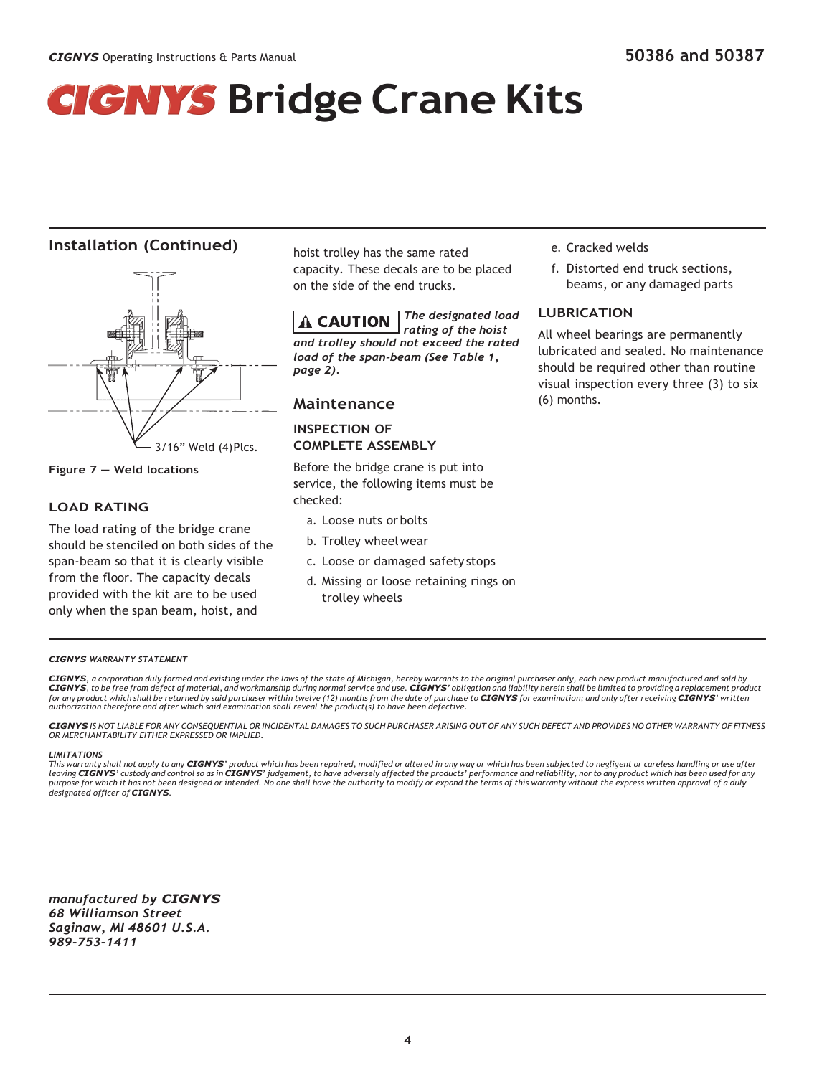## **Bridge** Crane Kits

### **Installation (Continued)**



**Figure 7 — Weld locations**

### **LOAD RATING**

The load rating of the bridge crane should be stenciled on both sides of the span-beam so that it is clearly visible from the floor. The capacity decals provided with the kit are to be used only when the span beam, hoist, and

hoist trolley has the same rated capacity. These decals are to be placed on the side of the end trucks.

*The designated load*  A CAUTION *rating of the hoist and trolley should not exceed the rated load of the span-beam (See Table 1, page 2).*

### **Maintenance**

### **INSPECTION OF COMPLETE ASSEMBLY**

Before the bridge crane is put into service, the following items must be checked:

- a. Loose nuts or bolts
- b. Trolley wheelwear
- c. Loose or damaged safety stops
- d. Missing or loose retaining rings on trolley wheels
- e. Cracked welds
- f. Distorted end truck sections, beams, or any damaged parts

### **LUBRICATION**

All wheel bearings are permanently lubricated and sealed. No maintenance should be required other than routine visual inspection every three (3) to six (6) months.

#### *CIGNYS WARRANTY STATEMENT*

CIGNYS, a corporation duly formed and existing under the laws of the state of Michigan, hereby warrants to the original purchaser only, each new product manufactured and sold by CIGNYS, to be free from defect of material, and workmanship during normal service and use. CIGNYS' obligation and liability herein shall be limited to providing a replacement product for any product which shall be returned by said purchaser within twelve (12) months from the date of purchase to **CIGNYS** for examination; and only after receiving **CIGNYS'** written *authorization therefore and after which said examination shall reveal the product(s) to have been defective.*

CIGNYS IS NOT LIABLE FOR ANY CONSEQUENTIAL OR INCIDENTAL DAMAGES TO SUCH PURCHASER ARISING OUT OF ANY SUCH DEFECT AND PROVIDES NO OTHER WARRANTY OF FITNESS *OR MERCHANTABILITY EITHER EXPRESSED OR IMPLIED.*

#### *LIMITATIONS*

This warranty shall not apply to any CIGNYS' product which has been repaired, modified or altered in any way or which has been subjected to negligent or careless handling or use after leaving **CIGNYS**' custody and control so as in **CIGNYS**' judgement, to have adversely affected the products' performance and reliability, nor to any product which has been used for any<br>purpose for which it has not been des *designated officer of CIGNYS.*

*manufactured by CIGNYS 68 Williamson Street Saginaw, MI 48601 U.S.A. 989-753-1411*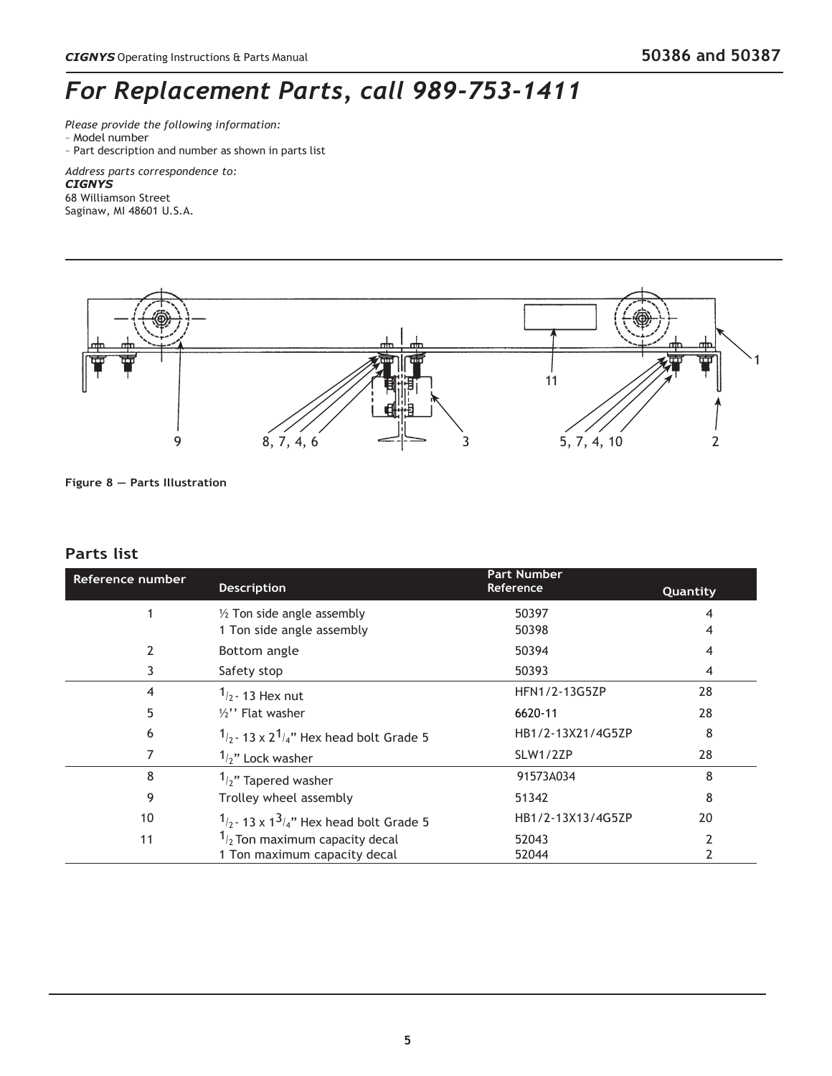### *For Replacement Parts, call 989-753-1411*

*Please provide the following information:*

- Model number
- Part description and number as shown in parts list

*Address parts correspondence to:*

### *CIGNYS*

68 Williamson Street Saginaw, MI 48601 U.S.A.



**Figure 8 — Parts Illustration**

### **Parts list**

| Reference number | <b>Description</b>                           | <b>Part Number</b><br>Reference | Quantity |
|------------------|----------------------------------------------|---------------------------------|----------|
|                  | $\frac{1}{2}$ Ton side angle assembly        | 50397                           | 4        |
|                  | 1 Ton side angle assembly                    | 50398                           | 4        |
|                  | Bottom angle                                 | 50394                           | 4        |
| 3                | Safety stop                                  | 50393                           | 4        |
| 4                | $1/2$ - 13 Hex nut                           | HFN1/2-13G5ZP                   | 28       |
| 5                | $\frac{1}{2}$ " Flat washer                  | 6620-11                         | 28       |
| 6                | $1/2$ - 13 x 2 $1/4$ " Hex head bolt Grade 5 | HB1/2-13X21/4G5ZP               | 8        |
|                  | $1/2$ " Lock washer                          | SLW1/2ZP                        | 28       |
| 8                | $1/2$ " Tapered washer                       | 91573A034                       | 8        |
| 9                | Trolley wheel assembly                       | 51342                           | 8        |
| 10               | $1/2$ - 13 x $1^3/4$ " Hex head bolt Grade 5 | HB1/2-13X13/4G5ZP               | 20       |
| 11               | $1/2$ Ton maximum capacity decal             | 52043                           |          |
|                  | 1 Ton maximum capacity decal                 | 52044                           |          |